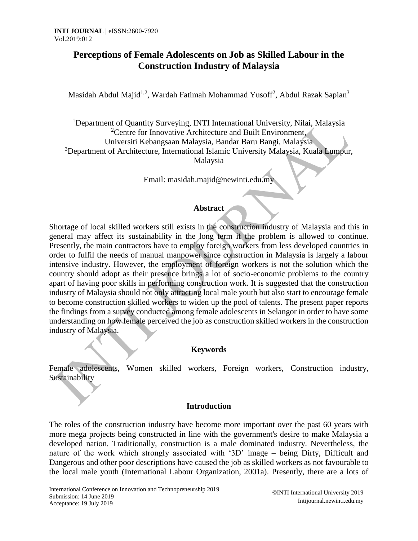# **Perceptions of Female Adolescents on Job as Skilled Labour in the Construction Industry of Malaysia**

Masidah Abdul Majid<sup>1,2</sup>, Wardah Fatimah Mohammad Yusoff<sup>2</sup>, Abdul Razak Sapian<sup>3</sup>

<sup>1</sup>Department of Quantity Surveying, INTI International University, Nilai, Malaysia <sup>2</sup>Centre for Innovative Architecture and Built Environment, Universiti Kebangsaan Malaysia, Bandar Baru Bangi, Malaysia <sup>3</sup>Department of Architecture, International Islamic University Malaysia, Kuala Lumpur, Malaysia

Email: masidah.majid@newinti.edu.my

### **Abstract**

Shortage of local skilled workers still exists in the construction industry of Malaysia and this in general may affect its sustainability in the long term if the problem is allowed to continue. Presently, the main contractors have to employ foreign workers from less developed countries in order to fulfil the needs of manual manpower since construction in Malaysia is largely a labour intensive industry. However, the employment of foreign workers is not the solution which the country should adopt as their presence brings a lot of socio-economic problems to the country apart of having poor skills in performing construction work. It is suggested that the construction industry of Malaysia should not only attracting local male youth but also start to encourage female to become construction skilled workers to widen up the pool of talents. The present paper reports the findings from a survey conducted among female adolescents in Selangor in order to have some understanding on how female perceived the job as construction skilled workers in the construction industry of Malaysia.

### **Keywords**

Female adolescents, Women skilled workers, Foreign workers, Construction industry, Sustainability

### **Introduction**

The roles of the construction industry have become more important over the past 60 years with more mega projects being constructed in line with the government's desire to make Malaysia a developed nation. Traditionally, construction is a male dominated industry. Nevertheless, the nature of the work which strongly associated with '3D' image – being Dirty, Difficult and Dangerous and other poor descriptions have caused the job as skilled workers as not favourable to the local male youth (International Labour Organization, 2001a). Presently, there are a lots of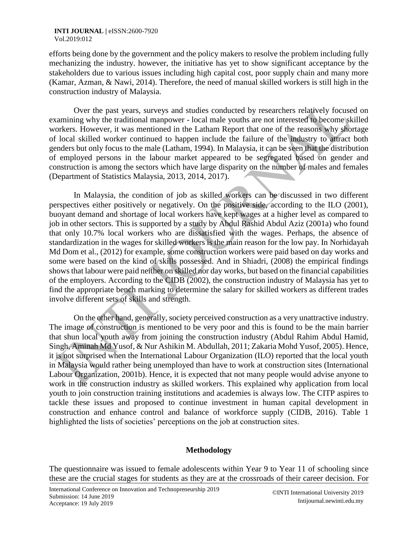#### **INTI JOURNAL | eISSN:2600-7920** Vol.2019:012

efforts being done by the government and the policy makers to resolve the problem including fully mechanizing the industry. however, the initiative has yet to show significant acceptance by the stakeholders due to various issues including high capital cost, poor supply chain and many more (Kamar, Azman, & Nawi, 2014). Therefore, the need of manual skilled workers is still high in the construction industry of Malaysia.

Over the past years, surveys and studies conducted by researchers relatively focused on examining why the traditional manpower - local male youths are not interested to become skilled workers. However, it was mentioned in the Latham Report that one of the reasons why shortage of local skilled worker continued to happen include the failure of the industry to attract both genders but only focus to the male (Latham, 1994). In Malaysia, it can be seen that the distribution of employed persons in the labour market appeared to be segregated based on gender and construction is among the sectors which have large disparity on the number of males and females (Department of Statistics Malaysia, 2013, 2014, 2017).

In Malaysia, the condition of job as skilled workers can be discussed in two different perspectives either positively or negatively. On the positive side, according to the ILO (2001), buoyant demand and shortage of local workers have kept wages at a higher level as compared to job in other sectors. This is supported by a study by Abdul Rashid Abdul Aziz (2001a) who found that only 10.7% local workers who are dissatisfied with the wages. Perhaps, the absence of standardization in the wages for skilled workers is the main reason for the low pay. In Norhidayah Md Dom et al., (2012) for example, some construction workers were paid based on day works and some were based on the kind of skills possessed. And in Shiadri, (2008) the empirical findings shows that labour were paid neither on skilled nor day works, but based on the financial capabilities of the employers. According to the CIDB (2002), the construction industry of Malaysia has yet to find the appropriate bench marking to determine the salary for skilled workers as different trades involve different sets of skills and strength.

On the other hand, generally, society perceived construction as a very unattractive industry. The image of construction is mentioned to be very poor and this is found to be the main barrier that shun local youth away from joining the construction industry (Abdul Rahim Abdul Hamid, Singh, Aminah Md Yusof, & Nur Ashikin M. Abdullah, 2011; Zakaria Mohd Yusof, 2005). Hence, it is not surprised when the International Labour Organization (ILO) reported that the local youth in Malaysia would rather being unemployed than have to work at construction sites (International Labour Organization, 2001b). Hence, it is expected that not many people would advise anyone to work in the construction industry as skilled workers. This explained why application from local youth to join construction training institutions and academies is always low. The CITP aspires to tackle these issues and proposed to continue investment in human capital development in construction and enhance control and balance of workforce supply (CIDB, 2016). Table 1 highlighted the lists of societies' perceptions on the job at construction sites.

### **Methodology**

The questionnaire was issued to female adolescents within Year 9 to Year 11 of schooling since these are the crucial stages for students as they are at the crossroads of their career decision. For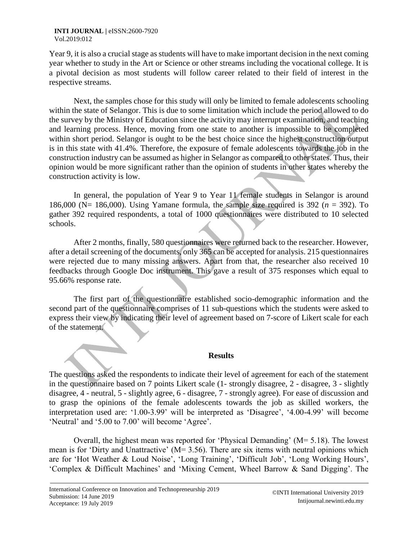Year 9, it is also a crucial stage as students will have to make important decision in the next coming year whether to study in the Art or Science or other streams including the vocational college. It is a pivotal decision as most students will follow career related to their field of interest in the respective streams.

Next, the samples chose for this study will only be limited to female adolescents schooling within the state of Selangor. This is due to some limitation which include the period allowed to do the survey by the Ministry of Education since the activity may interrupt examination, and teaching and learning process. Hence, moving from one state to another is impossible to be completed within short period. Selangor is ought to be the best choice since the highest construction output is in this state with 41.4%. Therefore, the exposure of female adolescents towards the job in the construction industry can be assumed as higher in Selangor as compared to other states. Thus, their opinion would be more significant rather than the opinion of students in other states whereby the construction activity is low.

In general, the population of Year 9 to Year 11 female students in Selangor is around 186,000 ( $N = 186,000$ ). Using Yamane formula, the sample size required is 392 ( $n = 392$ ). To gather 392 required respondents, a total of 1000 questionnaires were distributed to 10 selected schools.

After 2 months, finally, 580 questionnaires were returned back to the researcher. However, after a detail screening of the documents, only 365 can be accepted for analysis. 215 questionnaires were rejected due to many missing answers. Apart from that, the researcher also received 10 feedbacks through Google Doc instrument. This gave a result of 375 responses which equal to 95.66% response rate.

The first part of the questionnaire established socio-demographic information and the second part of the questionnaire comprises of 11 sub-questions which the students were asked to express their view by indicating their level of agreement based on 7-score of Likert scale for each of the statement.

#### **Results**

The questions asked the respondents to indicate their level of agreement for each of the statement in the questionnaire based on 7 points Likert scale (1- strongly disagree, 2 - disagree, 3 - slightly disagree, 4 - neutral, 5 - slightly agree, 6 - disagree, 7 - strongly agree). For ease of discussion and to grasp the opinions of the female adolescents towards the job as skilled workers, the interpretation used are: '1.00-3.99' will be interpreted as 'Disagree', '4.00-4.99' will become 'Neutral' and '5.00 to 7.00' will become 'Agree'.

Overall, the highest mean was reported for 'Physical Demanding' (M= 5.18). The lowest mean is for 'Dirty and Unattractive' (M= 3.56). There are six items with neutral opinions which are for 'Hot Weather & Loud Noise', 'Long Training', 'Difficult Job', 'Long Working Hours', 'Complex & Difficult Machines' and 'Mixing Cement, Wheel Barrow & Sand Digging'. The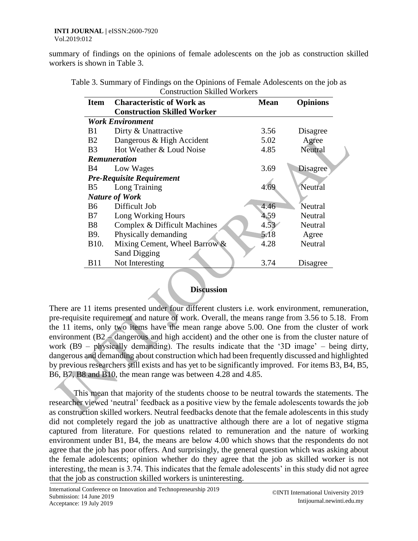summary of findings on the opinions of female adolescents on the job as construction skilled workers is shown in Table 3.

| Table 3. Summary of Findings on the Opinions of Female Adolescents on the job as |
|----------------------------------------------------------------------------------|
| <b>Construction Skilled Workers</b>                                              |

| <b>Item</b>                      | <b>Characteristic of Work as</b>   | <b>Mean</b> | <b>Opinions</b> |  |
|----------------------------------|------------------------------------|-------------|-----------------|--|
|                                  | <b>Construction Skilled Worker</b> |             |                 |  |
| <b>Work Environment</b>          |                                    |             |                 |  |
| <b>B</b> 1                       | Dirty & Unattractive               | 3.56        | Disagree        |  |
| B2                               | Dangerous & High Accident          | 5.02        | Agree           |  |
| B <sub>3</sub>                   | Hot Weather & Loud Noise           | 4.85        | Neutral         |  |
|                                  | <b>Remuneration</b>                |             |                 |  |
| <b>B</b> 4                       | Low Wages                          | 3.69        | <b>Disagree</b> |  |
| <b>Pre-Requisite Requirement</b> |                                    |             |                 |  |
| B <sub>5</sub>                   | Long Training                      | 4.6         | Neutral         |  |
| <b>Nature of Work</b>            |                                    |             |                 |  |
| B6                               | Difficult Job                      | 4.46        | Neutral         |  |
| <b>B7</b>                        | Long Working Hours                 | 4.59        | Neutral         |  |
| B <sub>8</sub>                   | Complex & Difficult Machines       | 4.53        | Neutral         |  |
| <b>B</b> 9.                      | Physically demanding               | 5.18        | Agree           |  |
| B <sub>10</sub> .                | Mixing Cement, Wheel Barrow &      | 4.28        | Neutral         |  |
|                                  | <b>Sand Digging</b>                |             |                 |  |
| <b>B</b> 11                      | Not Interesting                    | 3.74        | Disagree        |  |

## **Discussion**

There are 11 items presented under four different clusters i.e. work environment, remuneration, pre-requisite requirement and nature of work. Overall, the means range from 3.56 to 5.18. From the 11 items, only two items have the mean range above 5.00. One from the cluster of work environment (B2 – dangerous and high accident) and the other one is from the cluster nature of work (B9 – physically demanding). The results indicate that the '3D image' – being dirty, dangerous and demanding about construction which had been frequently discussed and highlighted by previous researchers still exists and has yet to be significantly improved. For items B3, B4, B5, B6, B7, B8 and B10, the mean range was between 4.28 and 4.85.

This mean that majority of the students choose to be neutral towards the statements. The researcher viewed 'neutral' feedback as a positive view by the female adolescents towards the job as construction skilled workers. Neutral feedbacks denote that the female adolescents in this study did not completely regard the job as unattractive although there are a lot of negative stigma captured from literature. For questions related to remuneration and the nature of working environment under B1, B4, the means are below 4.00 which shows that the respondents do not agree that the job has poor offers. And surprisingly, the general question which was asking about the female adolescents; opinion whether do they agree that the job as skilled worker is not interesting, the mean is 3.74. This indicates that the female adolescents' in this study did not agree that the job as construction skilled workers is uninteresting.